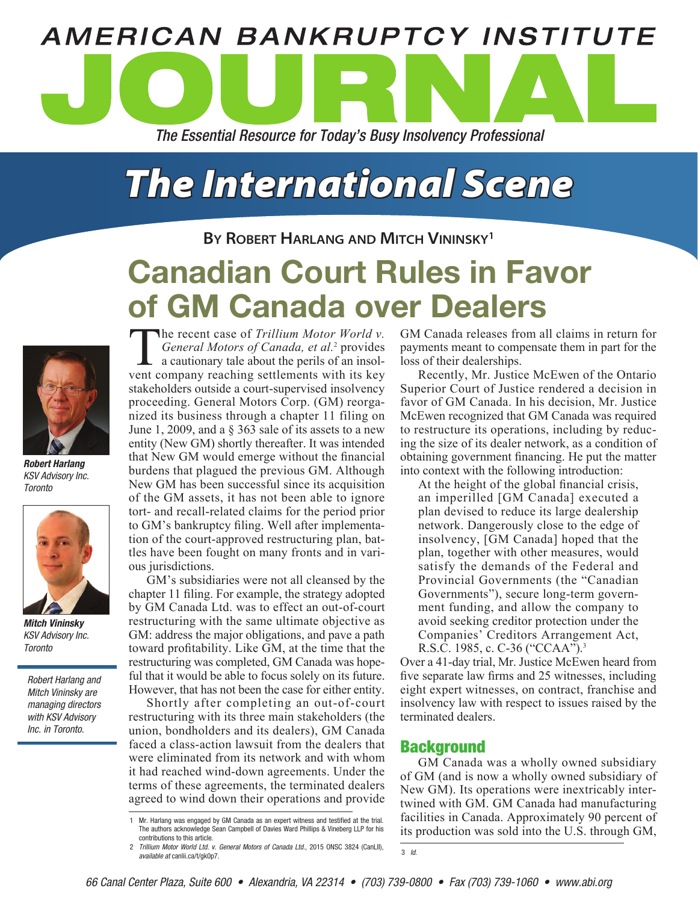# **AMERICAN BANKRUPTCY INSTITUTE** *The Essential Resource for Today's Busy Insolvency Professional*

## *The International Scene*

**By Robert Harlang and Mitch Vininsky1**

### Canadian Court Rules in Favor of GM Canada over Dealers



*Robert Harlang* KSV Advisory Inc. **Toronto** 



*Mitch Vininsky* KSV Advisory Inc. **Toronto** 

Robert Harlang and Mitch Vininsky are managing directors with KSV Advisory Inc. in Toronto.

The recent case of *Trillium Motor World v.*<br>General Motors of Canada, et al.<sup>2</sup> provides<br>a cautionary tale about the perils of an insol-<br>vent company reaching settlements with its key *General Motors of Canada, et al.*<sup>2</sup> provides  $\mathsf{\mathsf{L}}$  a cautionary tale about the perils of an insolvent company reaching settlements with its key stakeholders outside a court-supervised insolvency proceeding. General Motors Corp. (GM) reorganized its business through a chapter 11 filing on June 1, 2009, and a § 363 sale of its assets to a new entity (New GM) shortly thereafter. It was intended that New GM would emerge without the financial burdens that plagued the previous GM. Although New GM has been successful since its acquisition of the GM assets, it has not been able to ignore tort- and recall-related claims for the period prior to GM's bankruptcy filing. Well after implementation of the court-approved restructuring plan, battles have been fought on many fronts and in various jurisdictions.

GM's subsidiaries were not all cleansed by the chapter 11 filing. For example, the strategy adopted by GM Canada Ltd. was to effect an out-of-court restructuring with the same ultimate objective as GM: address the major obligations, and pave a path toward profitability. Like GM, at the time that the restructuring was completed, GM Canada was hopeful that it would be able to focus solely on its future. However, that has not been the case for either entity.

Shortly after completing an out-of-court restructuring with its three main stakeholders (the union, bondholders and its dealers), GM Canada faced a class-action lawsuit from the dealers that were eliminated from its network and with whom it had reached wind-down agreements. Under the terms of these agreements, the terminated dealers agreed to wind down their operations and provide GM Canada releases from all claims in return for payments meant to compensate them in part for the loss of their dealerships.

Recently, Mr. Justice McEwen of the Ontario Superior Court of Justice rendered a decision in favor of GM Canada. In his decision, Mr. Justice McEwen recognized that GM Canada was required to restructure its operations, including by reducing the size of its dealer network, as a condition of obtaining government financing. He put the matter into context with the following introduction:

At the height of the global financial crisis, an imperilled [GM Canada] executed a plan devised to reduce its large dealership network. Dangerously close to the edge of insolvency, [GM Canada] hoped that the plan, together with other measures, would satisfy the demands of the Federal and Provincial Governments (the "Canadian Governments"), secure long-term government funding, and allow the company to avoid seeking creditor protection under the Companies' Creditors Arrangement Act, R.S.C. 1985, c. C-36 ("CCAA").3

Over a 41-day trial, Mr. Justice McEwen heard from five separate law firms and 25 witnesses, including eight expert witnesses, on contract, franchise and insolvency law with respect to issues raised by the terminated dealers.

#### **Background**

3 Id.

GM Canada was a wholly owned subsidiary of GM (and is now a wholly owned subsidiary of New GM). Its operations were inextricably intertwined with GM. GM Canada had manufacturing facilities in Canada. Approximately 90 percent of its production was sold into the U.S. through GM,

<sup>1</sup> Mr. Harlang was engaged by GM Canada as an expert witness and testified at the trial. The authors acknowledge Sean Campbell of Davies Ward Phillips & Vineberg LLP for his contributions to this article.

<sup>2</sup> Trillium Motor World Ltd. v. General Motors of Canada Ltd., 2015 ONSC 3824 (CanLII), available at canlii.ca/t/gk0p7.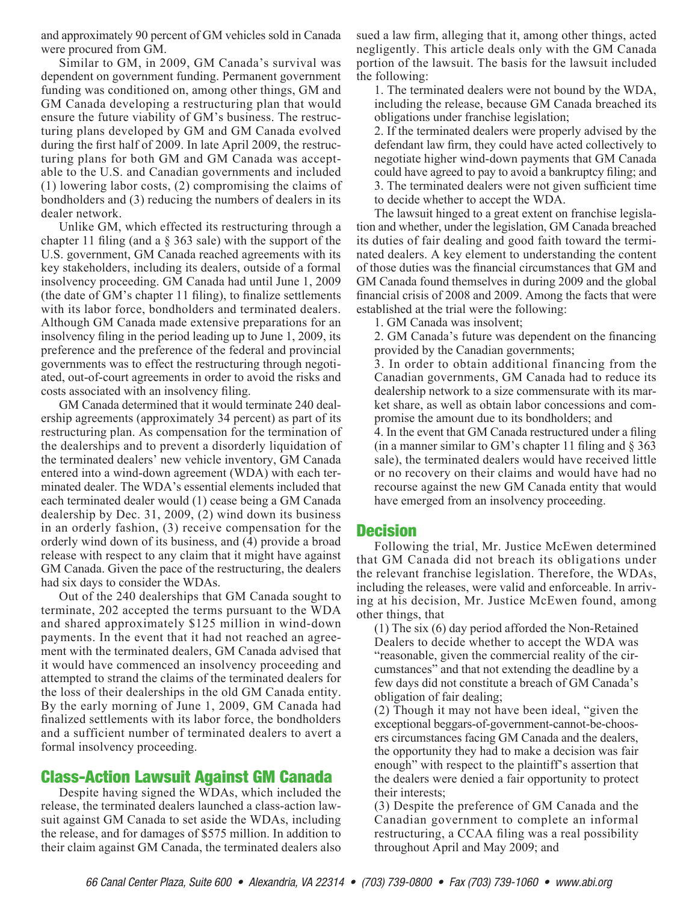and approximately 90 percent of GM vehicles sold in Canada were procured from GM.

Similar to GM, in 2009, GM Canada's survival was dependent on government funding. Permanent government funding was conditioned on, among other things, GM and GM Canada developing a restructuring plan that would ensure the future viability of GM's business. The restructuring plans developed by GM and GM Canada evolved during the first half of 2009. In late April 2009, the restructuring plans for both GM and GM Canada was acceptable to the U.S. and Canadian governments and included (1) lowering labor costs, (2) compromising the claims of bondholders and (3) reducing the numbers of dealers in its dealer network.

Unlike GM, which effected its restructuring through a chapter 11 filing (and a § 363 sale) with the support of the U.S. government, GM Canada reached agreements with its key stakeholders, including its dealers, outside of a formal insolvency proceeding. GM Canada had until June 1, 2009 (the date of GM's chapter 11 filing), to finalize settlements with its labor force, bondholders and terminated dealers. Although GM Canada made extensive preparations for an insolvency filing in the period leading up to June 1, 2009, its preference and the preference of the federal and provincial governments was to effect the restructuring through negotiated, out-of-court agreements in order to avoid the risks and costs associated with an insolvency filing.

GM Canada determined that it would terminate 240 dealership agreements (approximately 34 percent) as part of its restructuring plan. As compensation for the termination of the dealerships and to prevent a disorderly liquidation of the terminated dealers' new vehicle inventory, GM Canada entered into a wind-down agreement (WDA) with each terminated dealer. The WDA's essential elements included that each terminated dealer would (1) cease being a GM Canada dealership by Dec. 31, 2009, (2) wind down its business in an orderly fashion, (3) receive compensation for the orderly wind down of its business, and (4) provide a broad release with respect to any claim that it might have against GM Canada. Given the pace of the restructuring, the dealers had six days to consider the WDAs.

Out of the 240 dealerships that GM Canada sought to terminate, 202 accepted the terms pursuant to the WDA and shared approximately \$125 million in wind-down payments. In the event that it had not reached an agreement with the terminated dealers, GM Canada advised that it would have commenced an insolvency proceeding and attempted to strand the claims of the terminated dealers for the loss of their dealerships in the old GM Canada entity. By the early morning of June 1, 2009, GM Canada had finalized settlements with its labor force, the bondholders and a sufficient number of terminated dealers to avert a formal insolvency proceeding.

#### Class-Action Lawsuit Against GM Canada

Despite having signed the WDAs, which included the release, the terminated dealers launched a class-action lawsuit against GM Canada to set aside the WDAs, including the release, and for damages of \$575 million. In addition to their claim against GM Canada, the terminated dealers also sued a law firm, alleging that it, among other things, acted negligently. This article deals only with the GM Canada portion of the lawsuit. The basis for the lawsuit included the following:

1. The terminated dealers were not bound by the WDA, including the release, because GM Canada breached its obligations under franchise legislation;

2. If the terminated dealers were properly advised by the defendant law firm, they could have acted collectively to negotiate higher wind-down payments that GM Canada could have agreed to pay to avoid a bankruptcy filing; and 3. The terminated dealers were not given sufficient time to decide whether to accept the WDA.

The lawsuit hinged to a great extent on franchise legislation and whether, under the legislation, GM Canada breached its duties of fair dealing and good faith toward the terminated dealers. A key element to understanding the content of those duties was the financial circumstances that GM and GM Canada found themselves in during 2009 and the global financial crisis of 2008 and 2009. Among the facts that were established at the trial were the following:

1. GM Canada was insolvent;

2. GM Canada's future was dependent on the financing provided by the Canadian governments;

3. In order to obtain additional financing from the Canadian governments, GM Canada had to reduce its dealership network to a size commensurate with its market share, as well as obtain labor concessions and compromise the amount due to its bondholders; and

4. In the event that GM Canada restructured under a filing (in a manner similar to GM's chapter 11 filing and  $\S 363$ sale), the terminated dealers would have received little or no recovery on their claims and would have had no recourse against the new GM Canada entity that would have emerged from an insolvency proceeding.

#### **Decision**

Following the trial, Mr. Justice McEwen determined that GM Canada did not breach its obligations under the relevant franchise legislation. Therefore, the WDAs, including the releases, were valid and enforceable. In arriving at his decision, Mr. Justice McEwen found, among other things, that

(1) The six (6) day period afforded the Non-Retained Dealers to decide whether to accept the WDA was "reasonable, given the commercial reality of the circumstances" and that not extending the deadline by a few days did not constitute a breach of GM Canada's obligation of fair dealing;

(2) Though it may not have been ideal, "given the exceptional beggars-of-government-cannot-be-choosers circumstances facing GM Canada and the dealers, the opportunity they had to make a decision was fair enough" with respect to the plaintiff's assertion that the dealers were denied a fair opportunity to protect their interests;

(3) Despite the preference of GM Canada and the Canadian government to complete an informal restructuring, a CCAA filing was a real possibility throughout April and May 2009; and